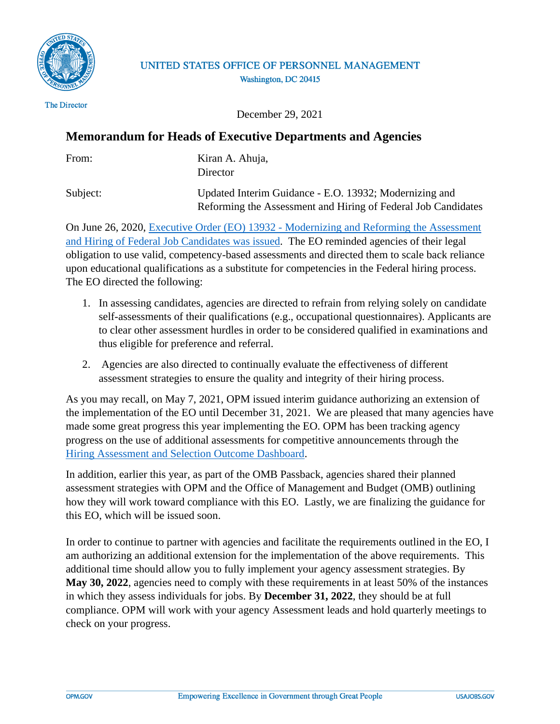

## UNITED STATES OFFICE OF PERSONNEL MANAGEMENT Washington, DC 20415

The Director

December 29, 2021

## **Memorandum for Heads of Executive Departments and Agencies**

| From:    | Kiran A. Ahuja,<br><b>Director</b>                                                                                      |
|----------|-------------------------------------------------------------------------------------------------------------------------|
| Subject: | Updated Interim Guidance - E.O. 13932; Modernizing and<br>Reforming the Assessment and Hiring of Federal Job Candidates |

On June 26, 2020, [Executive Order \(EO\) 13932 - Modernizing and Reforming the Assessment](https://www.federalregister.gov/documents/2020/07/01/2020-14337/modernizing-and-reforming-the-assessment-and-hiring-of-federal-job-candidates)  [and Hiring of Federal Job Candidates was issued.](https://www.federalregister.gov/documents/2020/07/01/2020-14337/modernizing-and-reforming-the-assessment-and-hiring-of-federal-job-candidates) The EO reminded agencies of their legal obligation to use valid, competency-based assessments and directed them to scale back reliance upon educational qualifications as a substitute for competencies in the Federal hiring process. The EO directed the following:

- 1. In assessing candidates, agencies are directed to refrain from relying solely on candidate self-assessments of their qualifications (e.g., occupational questionnaires). Applicants are to clear other assessment hurdles in order to be considered qualified in examinations and thus eligible for preference and referral.
- 2. Agencies are also directed to continually evaluate the effectiveness of different assessment strategies to ensure the quality and integrity of their hiring process.

As you may recall, on May 7, 2021, OPM issued interim guidance authorizing an extension of the implementation of the EO until December 31, 2021. We are pleased that many agencies have made some great progress this year implementing the EO. OPM has been tracking agency progress on the use of additional assessments for competitive announcements through the [Hiring Assessment and Selection Outcome Dashboard.](https://d2d.gsa.gov/report/hiring-assessment-and-selection-outcome-dashboard)

In addition, earlier this year, as part of the OMB Passback, agencies shared their planned assessment strategies with OPM and the Office of Management and Budget (OMB) outlining how they will work toward compliance with this EO. Lastly, we are finalizing the guidance for this EO, which will be issued soon.

In order to continue to partner with agencies and facilitate the requirements outlined in the EO, I am authorizing an additional extension for the implementation of the above requirements. This additional time should allow you to fully implement your agency assessment strategies. By **May 30, 2022**, agencies need to comply with these requirements in at least 50% of the instances in which they assess individuals for jobs. By **December 31, 2022**, they should be at full compliance. OPM will work with your agency Assessment leads and hold quarterly meetings to check on your progress.